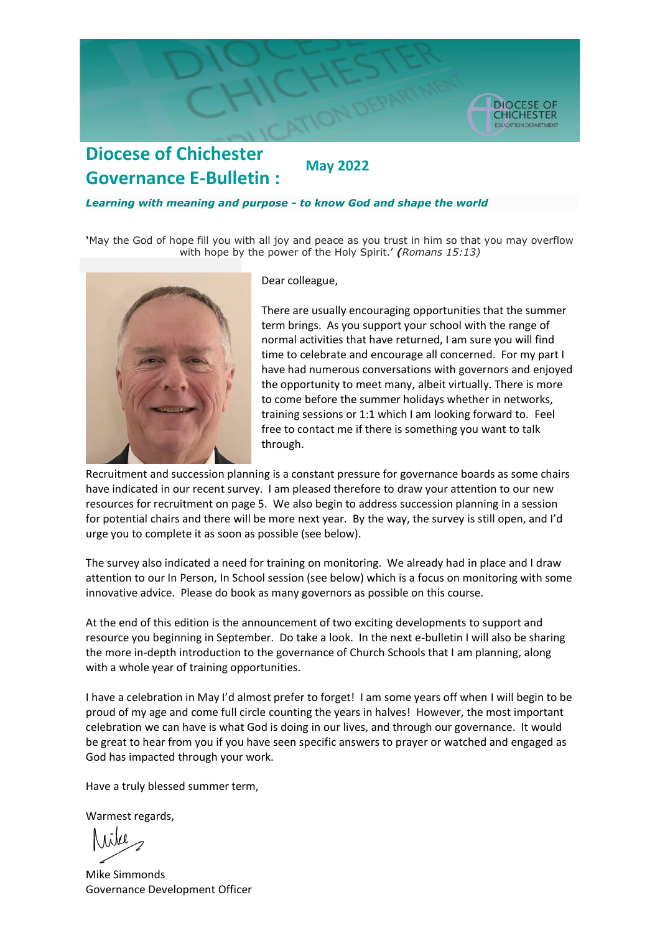

### **Diocese of Chichester May 2022 Governance E-Bulletin :**

#### *Learning with meaning and purpose - to know God and shape the world*

**'**May the God of hope fill you with all joy and peace as you trust in him so that you may overflow with hope by the power of the Holy Spirit.' *(Romans 15:13)*



Dear colleague,

There are usually encouraging opportunities that the summer term brings. As you support your school with the range of normal activities that have returned, I am sure you will find time to celebrate and encourage all concerned. For my part I have had numerous conversations with governors and enjoyed the opportunity to meet many, albeit virtually. There is more to come before the summer holidays whether in networks, training sessions or 1:1 which I am looking forward to. Feel free to contact me if there is something you want to talk through.

Recruitment and succession planning is a constant pressure for governance boards as some chairs have indicated in our recent survey. I am pleased therefore to draw your attention to our new resources for recruitment on page 5. We also begin to address succession planning in a session for potential chairs and there will be more next year. By the way, the survey is still open, and I'd urge you to complete it as soon as possible (see below).

The survey also indicated a need for training on monitoring. We already had in place and I draw attention to our In Person, In School session (see below) which is a focus on monitoring with some innovative advice. Please do book as many governors as possible on this course.

At the end of this edition is the announcement of two exciting developments to support and resource you beginning in September. Do take a look. In the next e-bulletin I will also be sharing the more in-depth introduction to the governance of Church Schools that I am planning, along with a whole year of training opportunities.

I have a celebration in May I'd almost prefer to forget! I am some years off when I will begin to be proud of my age and come full circle counting the years in halves! However, the most important celebration we can have is what God is doing in our lives, and through our governance. It would be great to hear from you if you have seen specific answers to prayer or watched and engaged as God has impacted through your work.

Have a truly blessed summer term,

Warmest regards,

Mike Simmonds Governance Development Officer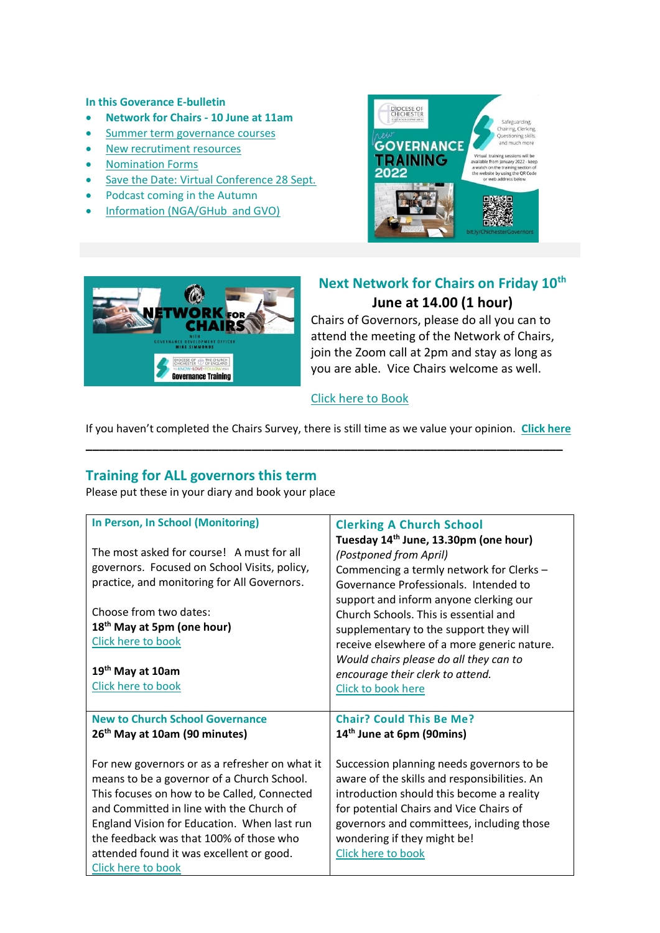#### **In this Goverance E-bulletin**

- **Network for Chairs - 10 June at 11am**
- [Summer term governance courses](#page-1-0)
- [New recrutiment resources](#page-2-0)
- [Nomination Forms](#page-2-1)
- [Save the Date: Virtual Conference 28 Sept.](#page-3-0)
- Podcast coming in the Autumn
- [Information \(NGA/GHub and GVO\)](#page-4-0)





## **Next Network for Chairs on Friday 10th June at 14.00 (1 hour)**

Chairs of Governors, please do all you can to attend the meeting of the Network of Chairs, join the Zoom call at 2pm and stay as long as you are able. Vice Chairs welcome as well.

#### [Click here to Book](https://www.eventbrite.co.uk/e/network-for-chairs-tickets-342686573767?aff=ebdsoporgprofile)

If you haven't completed the Chairs Survey, there is still time as we value your opinion. **[Click here](https://forms.office.com/r/vr87FYiKzd) \_\_\_\_\_\_\_\_\_\_\_\_\_\_\_\_\_\_\_\_\_\_\_\_\_\_\_\_\_\_\_\_\_\_\_\_\_\_\_\_\_\_\_\_\_\_\_\_\_\_\_\_\_\_\_\_\_\_\_\_\_\_\_\_\_\_\_\_\_\_\_\_**

## <span id="page-1-0"></span>**Training for ALL governors this term**

Please put these in your diary and book your place

| In Person, In School (Monitoring)<br>The most asked for course! A must for all<br>governors. Focused on School Visits, policy,<br>practice, and monitoring for All Governors.<br>Choose from two dates:<br>18 <sup>th</sup> May at 5pm (one hour)<br>Click here to book<br>19 <sup>th</sup> May at 10am<br>Click here to book                       | <b>Clerking A Church School</b><br>Tuesday 14 <sup>th</sup> June, 13.30pm (one hour)<br>(Postponed from April)<br>Commencing a termly network for Clerks -<br>Governance Professionals. Intended to<br>support and inform anyone clerking our<br>Church Schools. This is essential and<br>supplementary to the support they will<br>receive elsewhere of a more generic nature.<br>Would chairs please do all they can to<br>encourage their clerk to attend.<br>Click to book here |
|-----------------------------------------------------------------------------------------------------------------------------------------------------------------------------------------------------------------------------------------------------------------------------------------------------------------------------------------------------|-------------------------------------------------------------------------------------------------------------------------------------------------------------------------------------------------------------------------------------------------------------------------------------------------------------------------------------------------------------------------------------------------------------------------------------------------------------------------------------|
| <b>New to Church School Governance</b><br>26 <sup>th</sup> May at 10am (90 minutes)                                                                                                                                                                                                                                                                 | <b>Chair? Could This Be Me?</b><br>14 <sup>th</sup> June at 6pm (90mins)                                                                                                                                                                                                                                                                                                                                                                                                            |
| For new governors or as a refresher on what it<br>means to be a governor of a Church School.<br>This focuses on how to be Called, Connected<br>and Committed in line with the Church of<br>England Vision for Education. When last run<br>the feedback was that 100% of those who<br>attended found it was excellent or good.<br>Click here to book | Succession planning needs governors to be<br>aware of the skills and responsibilities. An<br>introduction should this become a reality<br>for potential Chairs and Vice Chairs of<br>governors and committees, including those<br>wondering if they might be!<br>Click here to book                                                                                                                                                                                                 |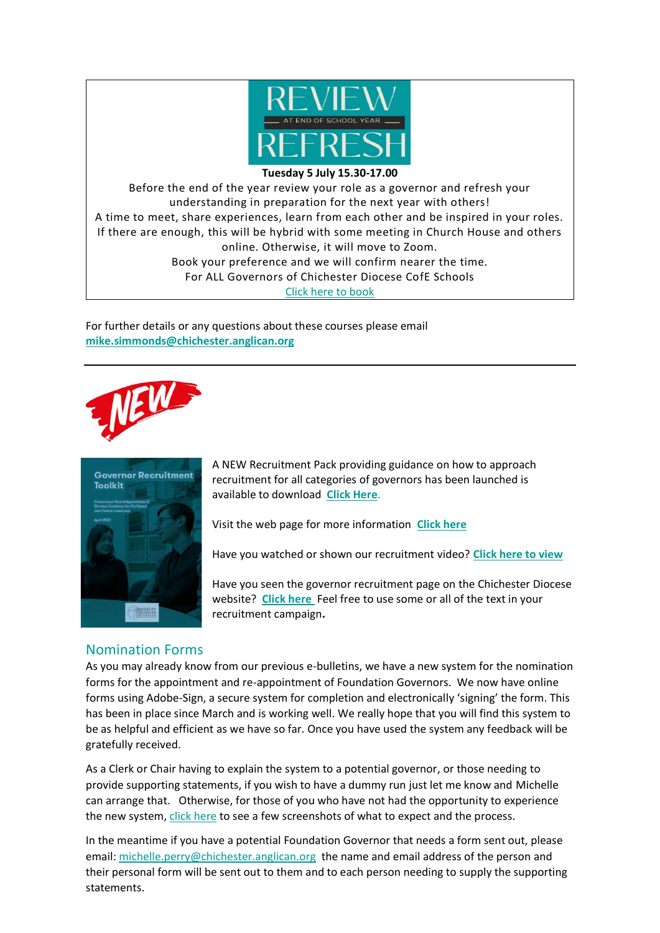

#### **Tuesday 5 July 15.30-17.00**

Before the end of the year review your role as a governor and refresh your understanding in preparation for the next year with others! A time to meet, share experiences, learn from each other and be inspired in your roles. If there are enough, this will be hybrid with some meeting in Church House and others online. Otherwise, it will move to Zoom. Book your preference and we will confirm nearer the time. For ALL Governors of Chichester Diocese CofE Schools [Click here to book](https://www.eventbrite.co.uk/e/review-and-refresh-tickets-227683325957?aff=ebdsoporgprofile)

For further details or any questions about these courses please email **[mike.simmonds@chichester.anglican.org](mailto:mike.simmonds@chichester.anglican.org)**





<span id="page-2-0"></span>A NEW Recruitment Pack providing guidance on how to approach recruitment for all categories of governors has been launched is available to download **[Click Here](https://cofechichestereducation.contentfiles.net/media/documents/document/2022/05/Recruitment_Toolkit_GB_Appointments_Guidance_May_2022_tiyuAWR.pdf)**.

Visit the web page for more information **[Click here](https://schools.chichester.anglican.org/governors-recruitment/)**

Have you watched or shown our recruitment video? **[Click here to view](https://schools.chichester.anglican.org/governors-recruitment/)**

Have you seen the governor recruitment page on the Chichester Diocese website? **[Click here](https://www.chichester.anglican.org/Church-School-Governors/)** Feel free to use some or all of the text in your recruitment campaign**.**

## <span id="page-2-1"></span>Nomination Forms

As you may already know from our previous e-bulletins, we have a new system for the nomination forms for the appointment and re-appointment of Foundation Governors. We now have online forms using Adobe-Sign, a secure system for completion and electronically 'signing' the form. This has been in place since March and is working well. We really hope that you will find this system to be as helpful and efficient as we have so far. Once you have used the system any feedback will be gratefully received.

As a Clerk or Chair having to explain the system to a potential governor, or those needing to provide supporting statements, if you wish to have a dummy run just let me know and Michelle can arrange that. Otherwise, for those of you who have not had the opportunity to experience the new system, [click here](https://cofechichestereducation.contentfiles.net/media/documents/document/2022/05/Nomination_Forms_Screenshots.pdf) to see a few screenshots of what to expect and the process.

In the meantime if you have a potential Foundation Governor that needs a form sent out, please email: [michelle.perry@chichester.anglican.org](mailto:michelle.perry@chichester.anglican.org) the name and email address of the person and their personal form will be sent out to them and to each person needing to supply the supporting statements.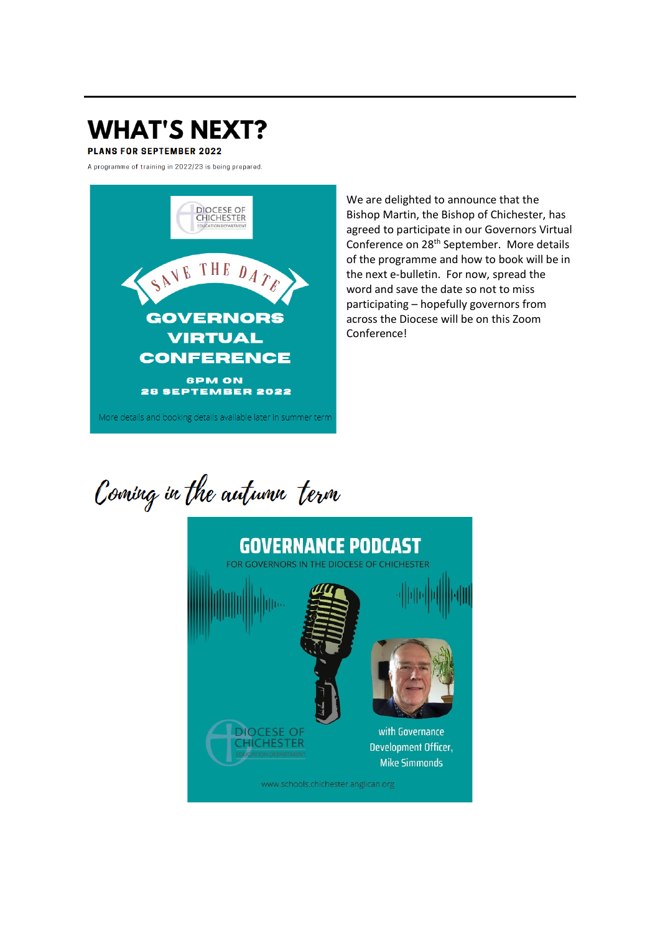# <span id="page-3-0"></span>**WHAT'S NEXT?**

**PLANS FOR SEPTEMBER 2022** 

A programme of training in 2022/23 is being prepared.



We are delighted to announce that the Bishop Martin, the Bishop of Chichester, has agreed to participate in our Governors Virtual Conference on 28<sup>th</sup> September. More details of the programme and how to book will be in the next e-bulletin. For now, spread the word and save the date so not to miss participating - hopefully governors from across the Diocese will be on this Zoom Conference!

Coming in the autumn term